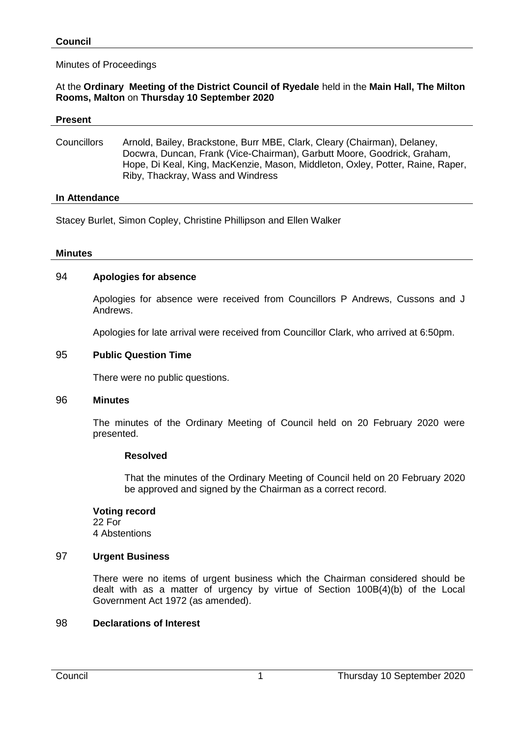## Minutes of Proceedings

## At the **Ordinary Meeting of the District Council of Ryedale** held in the **Main Hall, The Milton Rooms, Malton** on **Thursday 10 September 2020**

#### **Present**

Councillors Arnold, Bailey, Brackstone, Burr MBE, Clark, Cleary (Chairman), Delaney, Docwra, Duncan, Frank (Vice-Chairman), Garbutt Moore, Goodrick, Graham, Hope, Di Keal, King, MacKenzie, Mason, Middleton, Oxley, Potter, Raine, Raper, Riby, Thackray, Wass and Windress

#### **In Attendance**

Stacey Burlet, Simon Copley, Christine Phillipson and Ellen Walker

#### **Minutes**

## 94 **Apologies for absence**

Apologies for absence were received from Councillors P Andrews, Cussons and J Andrews.

Apologies for late arrival were received from Councillor Clark, who arrived at 6:50pm.

#### 95 **Public Question Time**

There were no public questions.

#### 96 **Minutes**

The minutes of the Ordinary Meeting of Council held on 20 February 2020 were presented.

## **Resolved**

That the minutes of the Ordinary Meeting of Council held on 20 February 2020 be approved and signed by the Chairman as a correct record.

## **Voting record**

22 For 4 Abstentions

## 97 **Urgent Business**

There were no items of urgent business which the Chairman considered should be dealt with as a matter of urgency by virtue of Section 100B(4)(b) of the Local Government Act 1972 (as amended).

## 98 **Declarations of Interest**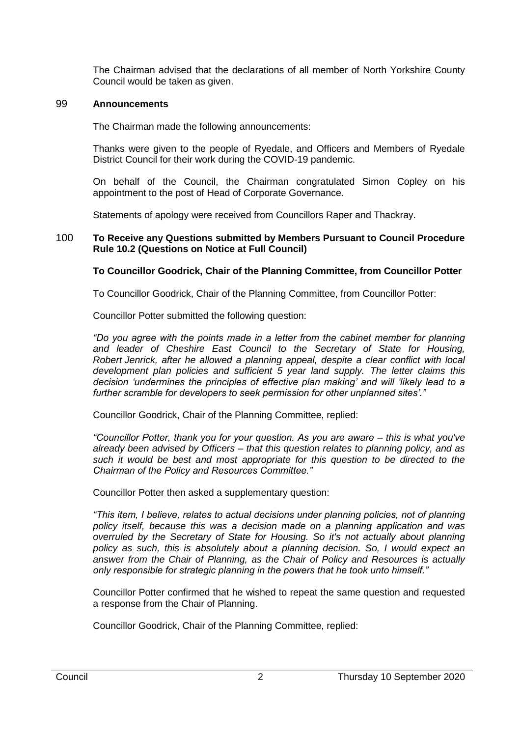The Chairman advised that the declarations of all member of North Yorkshire County Council would be taken as given.

## 99 **Announcements**

The Chairman made the following announcements:

Thanks were given to the people of Ryedale, and Officers and Members of Ryedale District Council for their work during the COVID-19 pandemic.

On behalf of the Council, the Chairman congratulated Simon Copley on his appointment to the post of Head of Corporate Governance.

Statements of apology were received from Councillors Raper and Thackray.

#### 100 **To Receive any Questions submitted by Members Pursuant to Council Procedure Rule 10.2 (Questions on Notice at Full Council)**

## **To Councillor Goodrick, Chair of the Planning Committee, from Councillor Potter**

To Councillor Goodrick, Chair of the Planning Committee, from Councillor Potter:

Councillor Potter submitted the following question:

*"Do you agree with the points made in a letter from the cabinet member for planning and leader of Cheshire East Council to the Secretary of State for Housing, Robert Jenrick, after he allowed a planning appeal, despite a clear conflict with local development plan policies and sufficient 5 year land supply. The letter claims this decision 'undermines the principles of effective plan making' and will 'likely lead to a further scramble for developers to seek permission for other unplanned sites'."*

Councillor Goodrick, Chair of the Planning Committee, replied:

*"Councillor Potter, thank you for your question. As you are aware – this is what you've already been advised by Officers – that this question relates to planning policy, and as such it would be best and most appropriate for this question to be directed to the Chairman of the Policy and Resources Committee."*

Councillor Potter then asked a supplementary question:

*"This item, I believe, relates to actual decisions under planning policies, not of planning policy itself, because this was a decision made on a planning application and was overruled by the Secretary of State for Housing. So it's not actually about planning policy as such, this is absolutely about a planning decision. So, I would expect an answer from the Chair of Planning, as the Chair of Policy and Resources is actually only responsible for strategic planning in the powers that he took unto himself."*

Councillor Potter confirmed that he wished to repeat the same question and requested a response from the Chair of Planning.

Councillor Goodrick, Chair of the Planning Committee, replied: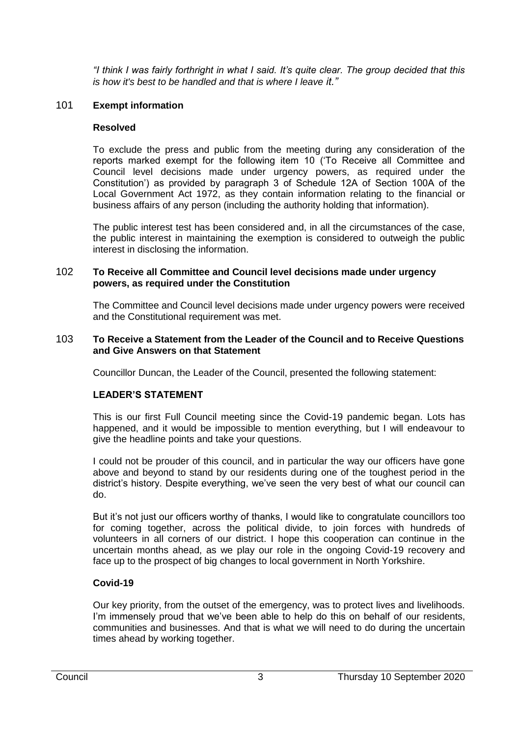*"I think I was fairly forthright in what I said. It's quite clear. The group decided that this is how it's best to be handled and that is where I leave it."* 

## 101 **Exempt information**

## **Resolved**

To exclude the press and public from the meeting during any consideration of the reports marked exempt for the following item 10 ('To Receive all Committee and Council level decisions made under urgency powers, as required under the Constitution') as provided by paragraph 3 of Schedule 12A of Section 100A of the Local Government Act 1972, as they contain information relating to the financial or business affairs of any person (including the authority holding that information).

The public interest test has been considered and, in all the circumstances of the case, the public interest in maintaining the exemption is considered to outweigh the public interest in disclosing the information.

## 102 **To Receive all Committee and Council level decisions made under urgency powers, as required under the Constitution**

The Committee and Council level decisions made under urgency powers were received and the Constitutional requirement was met.

#### 103 **To Receive a Statement from the Leader of the Council and to Receive Questions and Give Answers on that Statement**

Councillor Duncan, the Leader of the Council, presented the following statement:

## **LEADER'S STATEMENT**

This is our first Full Council meeting since the Covid-19 pandemic began. Lots has happened, and it would be impossible to mention everything, but I will endeavour to give the headline points and take your questions.

I could not be prouder of this council, and in particular the way our officers have gone above and beyond to stand by our residents during one of the toughest period in the district's history. Despite everything, we've seen the very best of what our council can do.

But it's not just our officers worthy of thanks, I would like to congratulate councillors too for coming together, across the political divide, to join forces with hundreds of volunteers in all corners of our district. I hope this cooperation can continue in the uncertain months ahead, as we play our role in the ongoing Covid-19 recovery and face up to the prospect of big changes to local government in North Yorkshire.

## **Covid-19**

Our key priority, from the outset of the emergency, was to protect lives and livelihoods. I'm immensely proud that we've been able to help do this on behalf of our residents, communities and businesses. And that is what we will need to do during the uncertain times ahead by working together.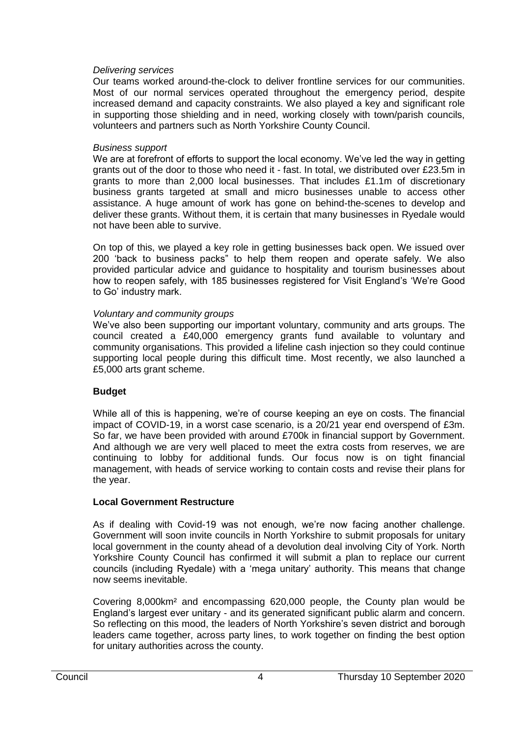## *Delivering services*

Our teams worked around-the-clock to deliver frontline services for our communities. Most of our normal services operated throughout the emergency period, despite increased demand and capacity constraints. We also played a key and significant role in supporting those shielding and in need, working closely with town/parish councils, volunteers and partners such as North Yorkshire County Council.

## *Business support*

We are at forefront of efforts to support the local economy. We've led the way in getting grants out of the door to those who need it - fast. In total, we distributed over £23.5m in grants to more than 2,000 local businesses. That includes £1.1m of discretionary business grants targeted at small and micro businesses unable to access other assistance. A huge amount of work has gone on behind-the-scenes to develop and deliver these grants. Without them, it is certain that many businesses in Ryedale would not have been able to survive.

On top of this, we played a key role in getting businesses back open. We issued over 200 'back to business packs" to help them reopen and operate safely. We also provided particular advice and guidance to hospitality and tourism businesses about how to reopen safely, with 185 businesses registered for Visit England's 'We're Good to Go' industry mark.

## *Voluntary and community groups*

We've also been supporting our important voluntary, community and arts groups. The council created a £40,000 emergency grants fund available to voluntary and community organisations. This provided a lifeline cash injection so they could continue supporting local people during this difficult time. Most recently, we also launched a £5,000 arts grant scheme.

# **Budget**

While all of this is happening, we're of course keeping an eye on costs. The financial impact of COVID-19, in a worst case scenario, is a 20/21 year end overspend of £3m. So far, we have been provided with around £700k in financial support by Government. And although we are very well placed to meet the extra costs from reserves, we are continuing to lobby for additional funds. Our focus now is on tight financial management, with heads of service working to contain costs and revise their plans for the year.

# **Local Government Restructure**

As if dealing with Covid-19 was not enough, we're now facing another challenge. Government will soon invite councils in North Yorkshire to submit proposals for unitary local government in the county ahead of a devolution deal involving City of York. North Yorkshire County Council has confirmed it will submit a plan to replace our current councils (including Ryedale) with a 'mega unitary' authority. This means that change now seems inevitable.

Covering 8,000km² and encompassing 620,000 people, the County plan would be England's largest ever unitary - and its generated significant public alarm and concern. So reflecting on this mood, the leaders of North Yorkshire's seven district and borough leaders came together, across party lines, to work together on finding the best option for unitary authorities across the county.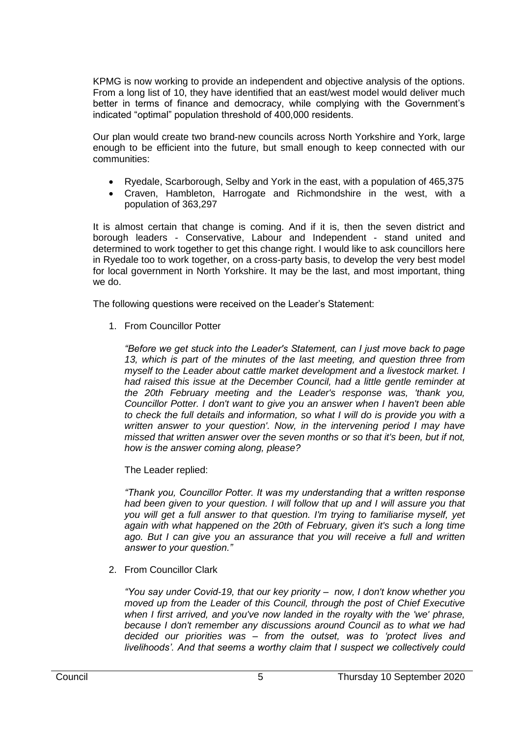KPMG is now working to provide an independent and objective analysis of the options. From a long list of 10, they have identified that an east/west model would deliver much better in terms of finance and democracy, while complying with the Government's indicated "optimal" population threshold of 400,000 residents.

Our plan would create two brand-new councils across North Yorkshire and York, large enough to be efficient into the future, but small enough to keep connected with our communities:

- Ryedale, Scarborough, Selby and York in the east, with a population of 465,375
- Craven, Hambleton, Harrogate and Richmondshire in the west, with a population of 363,297

It is almost certain that change is coming. And if it is, then the seven district and borough leaders - Conservative, Labour and Independent - stand united and determined to work together to get this change right. I would like to ask councillors here in Ryedale too to work together, on a cross-party basis, to develop the very best model for local government in North Yorkshire. It may be the last, and most important, thing we do.

The following questions were received on the Leader's Statement:

1. From Councillor Potter

*"Before we get stuck into the Leader's Statement, can I just move back to page 13, which is part of the minutes of the last meeting, and question three from myself to the Leader about cattle market development and a livestock market. I had raised this issue at the December Council, had a little gentle reminder at the 20th February meeting and the Leader's response was, 'thank you, Councillor Potter. I don't want to give you an answer when I haven't been able to check the full details and information, so what I will do is provide you with a written answer to your question'. Now, in the intervening period I may have missed that written answer over the seven months or so that it's been, but if not, how is the answer coming along, please?*

The Leader replied:

*"Thank you, Councillor Potter. It was my understanding that a written response*  had been given to your question. I will follow that up and I will assure you that *you will get a full answer to that question. I'm trying to familiarise myself, yet again with what happened on the 20th of February, given it's such a long time*  ago. But I can give you an assurance that you will receive a full and written *answer to your question."*

2. From Councillor Clark

*"You say under Covid-19, that our key priority – now, I don't know whether you moved up from the Leader of this Council, through the post of Chief Executive when I first arrived, and you've now landed in the royalty with the 'we' phrase, because I don't remember any discussions around Council as to what we had decided our priorities was – from the outset, was to 'protect lives and livelihoods'. And that seems a worthy claim that I suspect we collectively could*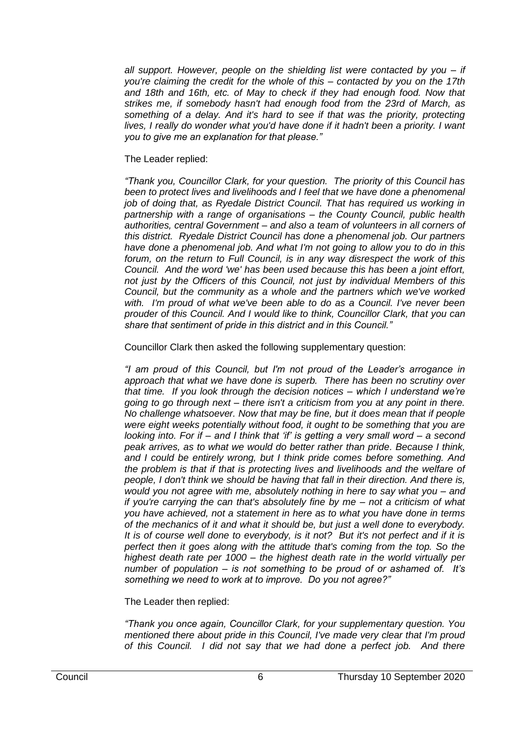*all support. However, people on the shielding list were contacted by you – if you're claiming the credit for the whole of this – contacted by you on the 17th*  and 18th and 16th, etc. of May to check if they had enough food. Now that *strikes me, if somebody hasn't had enough food from the 23rd of March, as something of a delay. And it's hard to see if that was the priority, protecting lives, I really do wonder what you'd have done if it hadn't been a priority. I want you to give me an explanation for that please."*

## The Leader replied:

*"Thank you, Councillor Clark, for your question. The priority of this Council has been to protect lives and livelihoods and I feel that we have done a phenomenal job of doing that, as Ryedale District Council. That has required us working in partnership with a range of organisations – the County Council, public health authorities, central Government – and also a team of volunteers in all corners of this district. Ryedale District Council has done a phenomenal job. Our partners have done a phenomenal job. And what I'm not going to allow you to do in this forum, on the return to Full Council, is in any way disrespect the work of this Council. And the word 'we' has been used because this has been a joint effort, not just by the Officers of this Council, not just by individual Members of this Council, but the community as a whole and the partners which we've worked with. I'm proud of what we've been able to do as a Council. I've never been prouder of this Council. And I would like to think, Councillor Clark, that you can share that sentiment of pride in this district and in this Council."*

Councillor Clark then asked the following supplementary question:

*"I am proud of this Council, but I'm not proud of the Leader's arrogance in approach that what we have done is superb. There has been no scrutiny over that time. If you look through the decision notices – which I understand we're going to go through next – there isn't a criticism from you at any point in there. No challenge whatsoever. Now that may be fine, but it does mean that if people were eight weeks potentially without food, it ought to be something that you are looking into. For if – and I think that 'if' is getting a very small word – a second peak arrives, as to what we would do better rather than pride. Because I think, and I could be entirely wrong, but I think pride comes before something. And the problem is that if that is protecting lives and livelihoods and the welfare of people, I don't think we should be having that fall in their direction. And there is, would you not agree with me, absolutely nothing in here to say what you – and if you're carrying the can that's absolutely fine by me – not a criticism of what you have achieved, not a statement in here as to what you have done in terms of the mechanics of it and what it should be, but just a well done to everybody. It is of course well done to everybody, is it not? But it's not perfect and if it is perfect then it goes along with the attitude that's coming from the top. So the highest death rate per 1000 – the highest death rate in the world virtually per number of population – is not something to be proud of or ashamed of. It's something we need to work at to improve. Do you not agree?"*

# The Leader then replied:

*"Thank you once again, Councillor Clark, for your supplementary question. You mentioned there about pride in this Council, I've made very clear that I'm proud of this Council. I did not say that we had done a perfect job. And there*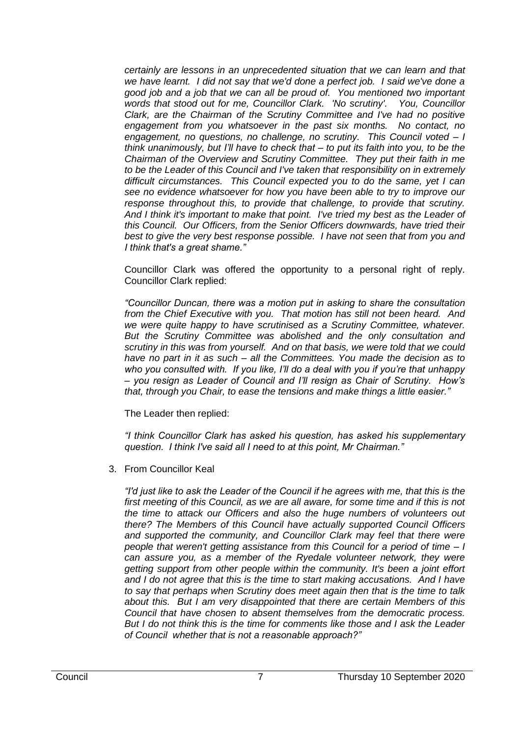*certainly are lessons in an unprecedented situation that we can learn and that we have learnt. I did not say that we'd done a perfect job. I said we've done a good job and a job that we can all be proud of. You mentioned two important words that stood out for me, Councillor Clark. 'No scrutiny'. You, Councillor Clark, are the Chairman of the Scrutiny Committee and I've had no positive engagement from you whatsoever in the past six months. No contact, no engagement, no questions, no challenge, no scrutiny. This Council voted – I think unanimously, but I'll have to check that – to put its faith into you, to be the Chairman of the Overview and Scrutiny Committee. They put their faith in me to be the Leader of this Council and I've taken that responsibility on in extremely difficult circumstances. This Council expected you to do the same, yet I can see no evidence whatsoever for how you have been able to try to improve our response throughout this, to provide that challenge, to provide that scrutiny. And I think it's important to make that point. I've tried my best as the Leader of this Council. Our Officers, from the Senior Officers downwards, have tried their best to give the very best response possible. I have not seen that from you and I think that's a great shame."*

Councillor Clark was offered the opportunity to a personal right of reply. Councillor Clark replied:

*"Councillor Duncan, there was a motion put in asking to share the consultation from the Chief Executive with you. That motion has still not been heard. And we were quite happy to have scrutinised as a Scrutiny Committee, whatever. But the Scrutiny Committee was abolished and the only consultation and scrutiny in this was from yourself. And on that basis, we were told that we could have no part in it as such – all the Committees. You made the decision as to who you consulted with. If you like, I'll do a deal with you if you're that unhappy – you resign as Leader of Council and I'll resign as Chair of Scrutiny. How's that, through you Chair, to ease the tensions and make things a little easier."*

The Leader then replied:

*"I think Councillor Clark has asked his question, has asked his supplementary question. I think I've said all I need to at this point, Mr Chairman."*

3. From Councillor Keal

*"I'd just like to ask the Leader of the Council if he agrees with me, that this is the*  first meeting of this Council, as we are all aware, for some time and if this is not *the time to attack our Officers and also the huge numbers of volunteers out there? The Members of this Council have actually supported Council Officers and supported the community, and Councillor Clark may feel that there were people that weren't getting assistance from this Council for a period of time – I can assure you, as a member of the Ryedale volunteer network, they were getting support from other people within the community. It's been a joint effort and I do not agree that this is the time to start making accusations. And I have to say that perhaps when Scrutiny does meet again then that is the time to talk about this. But I am very disappointed that there are certain Members of this Council that have chosen to absent themselves from the democratic process. But I do not think this is the time for comments like those and I ask the Leader of Council whether that is not a reasonable approach?"*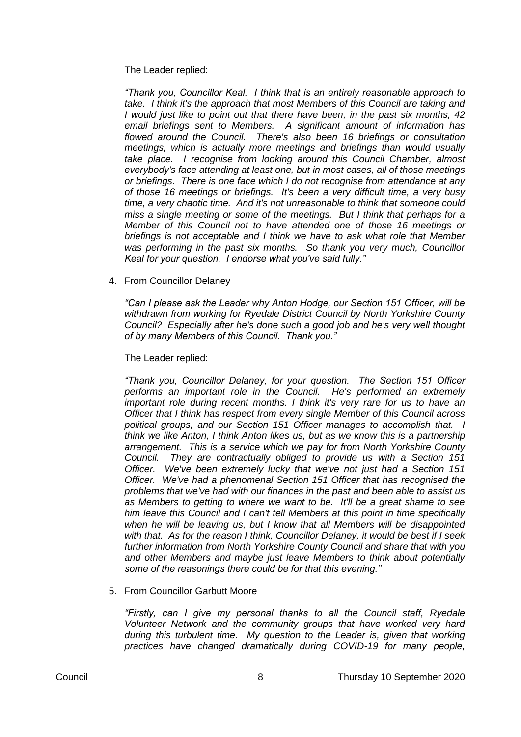The Leader replied:

*"Thank you, Councillor Keal. I think that is an entirely reasonable approach to take. I think it's the approach that most Members of this Council are taking and I would just like to point out that there have been, in the past six months, 42 email briefings sent to Members. A significant amount of information has flowed around the Council. There's also been 16 briefings or consultation meetings, which is actually more meetings and briefings than would usually take place. I recognise from looking around this Council Chamber, almost everybody's face attending at least one, but in most cases, all of those meetings or briefings. There is one face which I do not recognise from attendance at any of those 16 meetings or briefings. It's been a very difficult time, a very busy time, a very chaotic time. And it's not unreasonable to think that someone could miss a single meeting or some of the meetings. But I think that perhaps for a Member of this Council not to have attended one of those 16 meetings or briefings is not acceptable and I think we have to ask what role that Member was performing in the past six months. So thank you very much, Councillor Keal for your question. I endorse what you've said fully."*

4. From Councillor Delaney

*"Can I please ask the Leader why Anton Hodge, our Section 151 Officer, will be withdrawn from working for Ryedale District Council by North Yorkshire County Council? Especially after he's done such a good job and he's very well thought of by many Members of this Council. Thank you."*

The Leader replied:

*"Thank you, Councillor Delaney, for your question. The Section 151 Officer performs an important role in the Council. He's performed an extremely important role during recent months. I think it's very rare for us to have an Officer that I think has respect from every single Member of this Council across political groups, and our Section 151 Officer manages to accomplish that. I think we like Anton, I think Anton likes us, but as we know this is a partnership arrangement. This is a service which we pay for from North Yorkshire County Council. They are contractually obliged to provide us with a Section 151 Officer. We've been extremely lucky that we've not just had a Section 151 Officer. We've had a phenomenal Section 151 Officer that has recognised the problems that we've had with our finances in the past and been able to assist us as Members to getting to where we want to be. It'll be a great shame to see him leave this Council and I can't tell Members at this point in time specifically when he will be leaving us, but I know that all Members will be disappointed with that. As for the reason I think, Councillor Delaney, it would be best if I seek further information from North Yorkshire County Council and share that with you and other Members and maybe just leave Members to think about potentially some of the reasonings there could be for that this evening."*

5. From Councillor Garbutt Moore

*"Firstly, can I give my personal thanks to all the Council staff, Ryedale Volunteer Network and the community groups that have worked very hard during this turbulent time. My question to the Leader is, given that working practices have changed dramatically during COVID-19 for many people,*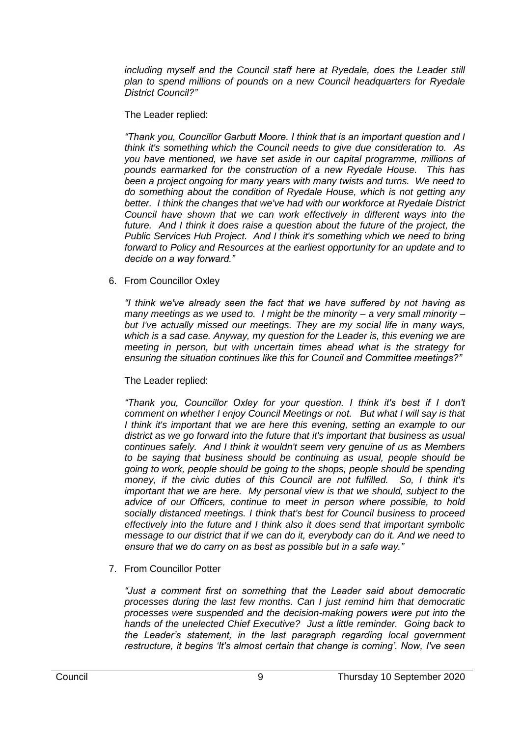including myself and the Council staff here at Ryedale, does the Leader still *plan to spend millions of pounds on a new Council headquarters for Ryedale District Council?"*

The Leader replied:

*"Thank you, Councillor Garbutt Moore. I think that is an important question and I think it's something which the Council needs to give due consideration to. As you have mentioned, we have set aside in our capital programme, millions of pounds earmarked for the construction of a new Ryedale House. This has been a project ongoing for many years with many twists and turns. We need to do something about the condition of Ryedale House, which is not getting any better. I think the changes that we've had with our workforce at Ryedale District Council have shown that we can work effectively in different ways into the*  future. And I think it does raise a question about the future of the project, the *Public Services Hub Project. And I think it's something which we need to bring forward to Policy and Resources at the earliest opportunity for an update and to decide on a way forward."*

6. From Councillor Oxley

*"I think we've already seen the fact that we have suffered by not having as many meetings as we used to. I might be the minority – a very small minority – but I've actually missed our meetings. They are my social life in many ways, which is a sad case. Anyway, my question for the Leader is, this evening we are meeting in person, but with uncertain times ahead what is the strategy for ensuring the situation continues like this for Council and Committee meetings?"*

# The Leader replied:

*"Thank you, Councillor Oxley for your question. I think it's best if I don't comment on whether I enjoy Council Meetings or not. But what I will say is that I think it's important that we are here this evening, setting an example to our district as we go forward into the future that it's important that business as usual continues safely. And I think it wouldn't seem very genuine of us as Members to be saying that business should be continuing as usual, people should be going to work, people should be going to the shops, people should be spending money, if the civic duties of this Council are not fulfilled. So, I think it's*  important that we are here. My personal view is that we should, subject to the *advice of our Officers, continue to meet in person where possible, to hold socially distanced meetings. I think that's best for Council business to proceed effectively into the future and I think also it does send that important symbolic message to our district that if we can do it, everybody can do it. And we need to ensure that we do carry on as best as possible but in a safe way."*

7. From Councillor Potter

*"Just a comment first on something that the Leader said about democratic processes during the last few months. Can I just remind him that democratic processes were suspended and the decision-making powers were put into the hands of the unelected Chief Executive? Just a little reminder. Going back to the Leader's statement, in the last paragraph regarding local government restructure, it begins 'It's almost certain that change is coming'. Now, I've seen*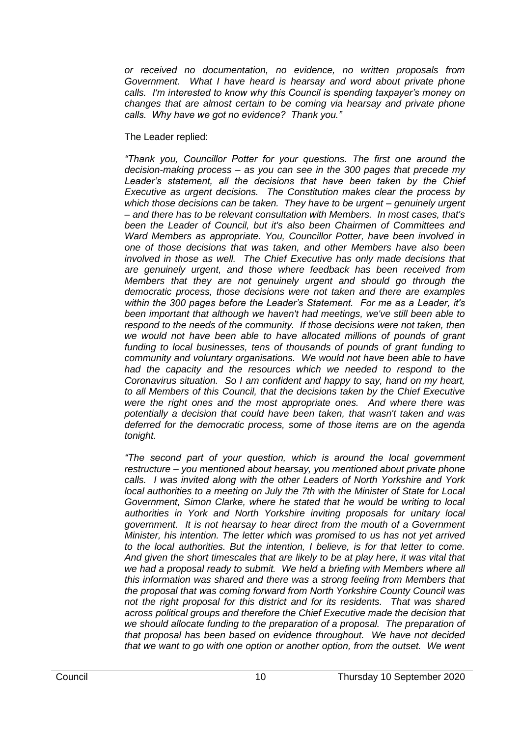*or received no documentation, no evidence, no written proposals from Government. What I have heard is hearsay and word about private phone calls. I'm interested to know why this Council is spending taxpayer's money on changes that are almost certain to be coming via hearsay and private phone calls. Why have we got no evidence? Thank you."*

## The Leader replied:

*"Thank you, Councillor Potter for your questions. The first one around the decision-making process – as you can see in the 300 pages that precede my*  Leader's statement, all the decisions that have been taken by the Chief *Executive as urgent decisions. The Constitution makes clear the process by which those decisions can be taken. They have to be urgent – genuinely urgent – and there has to be relevant consultation with Members. In most cases, that's been the Leader of Council, but it's also been Chairmen of Committees and Ward Members as appropriate. You, Councillor Potter, have been involved in one of those decisions that was taken, and other Members have also been involved in those as well. The Chief Executive has only made decisions that are genuinely urgent, and those where feedback has been received from Members that they are not genuinely urgent and should go through the democratic process, those decisions were not taken and there are examples within the 300 pages before the Leader's Statement. For me as a Leader, it's been important that although we haven't had meetings, we've still been able to respond to the needs of the community. If those decisions were not taken, then we would not have been able to have allocated millions of pounds of grant funding to local businesses, tens of thousands of pounds of grant funding to community and voluntary organisations. We would not have been able to have had the capacity and the resources which we needed to respond to the Coronavirus situation. So I am confident and happy to say, hand on my heart, to all Members of this Council, that the decisions taken by the Chief Executive were the right ones and the most appropriate ones. And where there was potentially a decision that could have been taken, that wasn't taken and was deferred for the democratic process, some of those items are on the agenda tonight.* 

*"The second part of your question, which is around the local government restructure – you mentioned about hearsay, you mentioned about private phone calls. I was invited along with the other Leaders of North Yorkshire and York local authorities to a meeting on July the 7th with the Minister of State for Local Government, Simon Clarke, where he stated that he would be writing to local authorities in York and North Yorkshire inviting proposals for unitary local government. It is not hearsay to hear direct from the mouth of a Government Minister, his intention. The letter which was promised to us has not yet arrived to the local authorities. But the intention, I believe, is for that letter to come. And given the short timescales that are likely to be at play here, it was vital that*  we had a proposal ready to submit. We held a briefing with Members where all *this information was shared and there was a strong feeling from Members that the proposal that was coming forward from North Yorkshire County Council was not the right proposal for this district and for its residents. That was shared across political groups and therefore the Chief Executive made the decision that we should allocate funding to the preparation of a proposal. The preparation of that proposal has been based on evidence throughout. We have not decided that we want to go with one option or another option, from the outset. We went*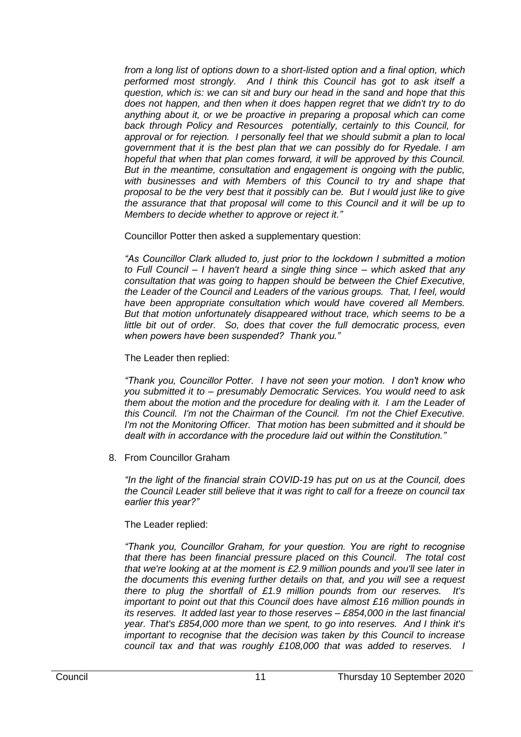*from a long list of options down to a short-listed option and a final option, which performed most strongly. And I think this Council has got to ask itself a question, which is: we can sit and bury our head in the sand and hope that this does not happen, and then when it does happen regret that we didn't try to do anything about it, or we be proactive in preparing a proposal which can come back through Policy and Resources potentially, certainly to this Council, for approval or for rejection. I personally feel that we should submit a plan to local government that it is the best plan that we can possibly do for Ryedale. I am hopeful that when that plan comes forward, it will be approved by this Council. But in the meantime, consultation and engagement is ongoing with the public, with businesses and with Members of this Council to try and shape that proposal to be the very best that it possibly can be. But I would just like to give the assurance that that proposal will come to this Council and it will be up to Members to decide whether to approve or reject it."*

Councillor Potter then asked a supplementary question:

*"As Councillor Clark alluded to, just prior to the lockdown I submitted a motion to Full Council – I haven't heard a single thing since – which asked that any consultation that was going to happen should be between the Chief Executive, the Leader of the Council and Leaders of the various groups. That, I feel, would have been appropriate consultation which would have covered all Members. But that motion unfortunately disappeared without trace, which seems to be a*  little bit out of order. So, does that cover the full democratic process, even *when powers have been suspended? Thank you."*

The Leader then replied:

*"Thank you, Councillor Potter. I have not seen your motion. I don't know who you submitted it to – presumably Democratic Services. You would need to ask them about the motion and the procedure for dealing with it. I am the Leader of this Council. I'm not the Chairman of the Council. I'm not the Chief Executive. I'm not the Monitoring Officer. That motion has been submitted and it should be dealt with in accordance with the procedure laid out within the Constitution."*

8. From Councillor Graham

*"In the light of the financial strain COVID-19 has put on us at the Council, does the Council Leader still believe that it was right to call for a freeze on council tax earlier this year?"*

The Leader replied:

*"Thank you, Councillor Graham, for your question. You are right to recognise that there has been financial pressure placed on this Council. The total cost that we're looking at at the moment is £2.9 million pounds and you'll see later in the documents this evening further details on that, and you will see a request there to plug the shortfall of £1.9 million pounds from our reserves. It's important to point out that this Council does have almost £16 million pounds in its reserves. It added last year to those reserves – £854,000 in the last financial year. That's £854,000 more than we spent, to go into reserves. And I think it's important to recognise that the decision was taken by this Council to increase council tax and that was roughly £108,000 that was added to reserves. I*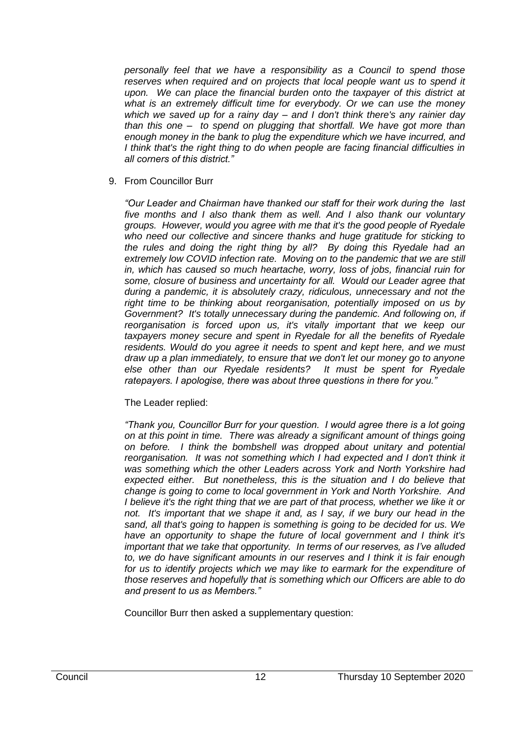*personally feel that we have a responsibility as a Council to spend those*  reserves when required and on projects that local people want us to spend it *upon. We can place the financial burden onto the taxpayer of this district at what is an extremely difficult time for everybody. Or we can use the money which we saved up for a rainy day – and I don't think there's any rainier day than this one – to spend on plugging that shortfall. We have got more than enough money in the bank to plug the expenditure which we have incurred, and I think that's the right thing to do when people are facing financial difficulties in all corners of this district."*

## 9. From Councillor Burr

*"Our Leader and Chairman have thanked our staff for their work during the last five months and I also thank them as well. And I also thank our voluntary groups. However, would you agree with me that it's the good people of Ryedale who need our collective and sincere thanks and huge gratitude for sticking to the rules and doing the right thing by all? By doing this Ryedale had an extremely low COVID infection rate. Moving on to the pandemic that we are still in, which has caused so much heartache, worry, loss of jobs, financial ruin for some, closure of business and uncertainty for all. Would our Leader agree that during a pandemic, it is absolutely crazy, ridiculous, unnecessary and not the right time to be thinking about reorganisation, potentially imposed on us by Government? It's totally unnecessary during the pandemic. And following on, if reorganisation is forced upon us, it's vitally important that we keep our taxpayers money secure and spent in Ryedale for all the benefits of Ryedale residents. Would do you agree it needs to spent and kept here, and we must draw up a plan immediately, to ensure that we don't let our money go to anyone else other than our Ryedale residents? It must be spent for Ryedale ratepayers. I apologise, there was about three questions in there for you."*

## The Leader replied:

*"Thank you, Councillor Burr for your question. I would agree there is a lot going on at this point in time. There was already a significant amount of things going on before. I think the bombshell was dropped about unitary and potential*  reorganisation. It was not something which I had expected and I don't think it *was something which the other Leaders across York and North Yorkshire had expected either. But nonetheless, this is the situation and I do believe that change is going to come to local government in York and North Yorkshire. And*  I believe it's the right thing that we are part of that process, whether we like it or *not. It's important that we shape it and, as I say, if we bury our head in the sand, all that's going to happen is something is going to be decided for us. We have an opportunity to shape the future of local government and I think it's important that we take that opportunity. In terms of our reserves, as I've alluded to, we do have significant amounts in our reserves and I think it is fair enough*  for us to identify projects which we may like to earmark for the expenditure of *those reserves and hopefully that is something which our Officers are able to do and present to us as Members."*

Councillor Burr then asked a supplementary question: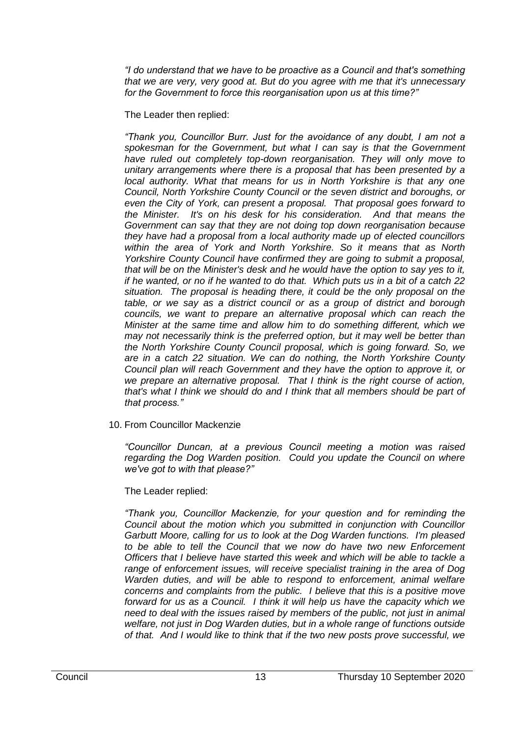*"I do understand that we have to be proactive as a Council and that's something that we are very, very good at. But do you agree with me that it's unnecessary for the Government to force this reorganisation upon us at this time?"*

The Leader then replied:

*"Thank you, Councillor Burr. Just for the avoidance of any doubt, I am not a spokesman for the Government, but what I can say is that the Government have ruled out completely top-down reorganisation. They will only move to unitary arrangements where there is a proposal that has been presented by a local authority. What that means for us in North Yorkshire is that any one Council, North Yorkshire County Council or the seven district and boroughs, or even the City of York, can present a proposal. That proposal goes forward to the Minister. It's on his desk for his consideration. And that means the Government can say that they are not doing top down reorganisation because they have had a proposal from a local authority made up of elected councillors within the area of York and North Yorkshire. So it means that as North Yorkshire County Council have confirmed they are going to submit a proposal, that will be on the Minister's desk and he would have the option to say yes to it, if he wanted, or no if he wanted to do that. Which puts us in a bit of a catch 22 situation. The proposal is heading there, it could be the only proposal on the table, or we say as a district council or as a group of district and borough councils, we want to prepare an alternative proposal which can reach the Minister at the same time and allow him to do something different, which we may not necessarily think is the preferred option, but it may well be better than the North Yorkshire County Council proposal, which is going forward. So, we are in a catch 22 situation. We can do nothing, the North Yorkshire County Council plan will reach Government and they have the option to approve it, or we prepare an alternative proposal. That I think is the right course of action, that's what I think we should do and I think that all members should be part of that process."*

10. From Councillor Mackenzie

*"Councillor Duncan, at a previous Council meeting a motion was raised*  regarding the Dog Warden position. Could you update the Council on where *we've got to with that please?"*

The Leader replied:

*"Thank you, Councillor Mackenzie, for your question and for reminding the Council about the motion which you submitted in conjunction with Councillor Garbutt Moore, calling for us to look at the Dog Warden functions. I'm pleased to be able to tell the Council that we now do have two new Enforcement Officers that I believe have started this week and which will be able to tackle a range of enforcement issues, will receive specialist training in the area of Dog Warden duties, and will be able to respond to enforcement, animal welfare concerns and complaints from the public. I believe that this is a positive move forward for us as a Council. I think it will help us have the capacity which we need to deal with the issues raised by members of the public, not just in animal welfare, not just in Dog Warden duties, but in a whole range of functions outside of that. And I would like to think that if the two new posts prove successful, we*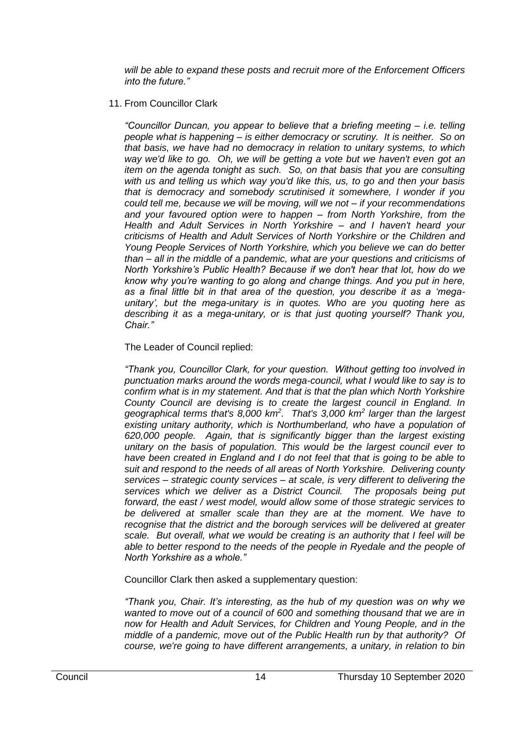*will be able to expand these posts and recruit more of the Enforcement Officers into the future."*

## 11. From Councillor Clark

*"Councillor Duncan, you appear to believe that a briefing meeting – i.e. telling people what is happening – is either democracy or scrutiny. It is neither. So on that basis, we have had no democracy in relation to unitary systems, to which way we'd like to go. Oh, we will be getting a vote but we haven't even got an item on the agenda tonight as such. So, on that basis that you are consulting with us and telling us which way you'd like this, us, to go and then your basis that is democracy and somebody scrutinised it somewhere, I wonder if you could tell me, because we will be moving, will we not – if your recommendations and your favoured option were to happen – from North Yorkshire, from the Health and Adult Services in North Yorkshire – and I haven't heard your criticisms of Health and Adult Services of North Yorkshire or the Children and Young People Services of North Yorkshire, which you believe we can do better than – all in the middle of a pandemic, what are your questions and criticisms of North Yorkshire's Public Health? Because if we don't hear that lot, how do we know why you're wanting to go along and change things. And you put in here, as a final little bit in that area of the question, you describe it as a 'megaunitary', but the mega-unitary is in quotes. Who are you quoting here as describing it as a mega-unitary, or is that just quoting yourself? Thank you, Chair."*

## The Leader of Council replied:

*"Thank you, Councillor Clark, for your question. Without getting too involved in punctuation marks around the words mega-council, what I would like to say is to confirm what is in my statement. And that is that the plan which North Yorkshire County Council are devising is to create the largest council in England. In geographical terms that's 8,000 km<sup>2</sup> . That's 3,000 km<sup>2</sup> larger than the largest*  existing unitary authority, which is Northumberland, who have a population of *620,000 people. Again, that is significantly bigger than the largest existing unitary on the basis of population. This would be the largest council ever to have been created in England and I do not feel that that is going to be able to suit and respond to the needs of all areas of North Yorkshire. Delivering county services – strategic county services – at scale, is very different to delivering the services which we deliver as a District Council. The proposals being put forward, the east / west model, would allow some of those strategic services to be delivered at smaller scale than they are at the moment. We have to*  recognise that the district and the borough services will be delivered at greater *scale. But overall, what we would be creating is an authority that I feel will be able to better respond to the needs of the people in Ryedale and the people of North Yorkshire as a whole."*

Councillor Clark then asked a supplementary question:

*"Thank you, Chair. It's interesting, as the hub of my question was on why we wanted to move out of a council of 600 and something thousand that we are in now for Health and Adult Services, for Children and Young People, and in the middle of a pandemic, move out of the Public Health run by that authority? Of course, we're going to have different arrangements, a unitary, in relation to bin*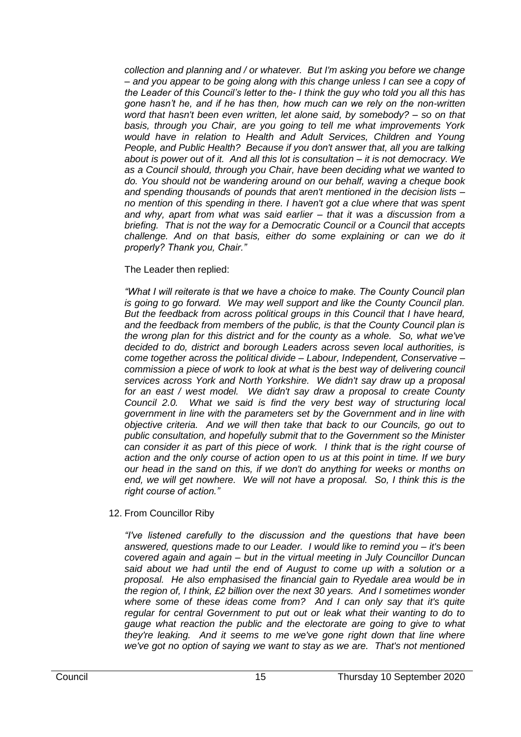*collection and planning and / or whatever. But I'm asking you before we change – and you appear to be going along with this change unless I can see a copy of the Leader of this Council's letter to the- I think the guy who told you all this has gone hasn't he, and if he has then, how much can we rely on the non-written word that hasn't been even written, let alone said, by somebody? – so on that basis, through you Chair, are you going to tell me what improvements York would have in relation to Health and Adult Services, Children and Young People, and Public Health? Because if you don't answer that, all you are talking about is power out of it. And all this lot is consultation – it is not democracy. We as a Council should, through you Chair, have been deciding what we wanted to do. You should not be wandering around on our behalf, waving a cheque book and spending thousands of pounds that aren't mentioned in the decision lists – no mention of this spending in there. I haven't got a clue where that was spent and why, apart from what was said earlier – that it was a discussion from a briefing. That is not the way for a Democratic Council or a Council that accepts challenge. And on that basis, either do some explaining or can we do it properly? Thank you, Chair."*

The Leader then replied:

*"What I will reiterate is that we have a choice to make. The County Council plan is going to go forward. We may well support and like the County Council plan. But the feedback from across political groups in this Council that I have heard, and the feedback from members of the public, is that the County Council plan is the wrong plan for this district and for the county as a whole. So, what we've decided to do, district and borough Leaders across seven local authorities, is come together across the political divide – Labour, Independent, Conservative – commission a piece of work to look at what is the best way of delivering council services across York and North Yorkshire. We didn't say draw up a proposal for an east / west model. We didn't say draw a proposal to create County Council 2.0. What we said is find the very best way of structuring local government in line with the parameters set by the Government and in line with objective criteria. And we will then take that back to our Councils, go out to public consultation, and hopefully submit that to the Government so the Minister can consider it as part of this piece of work. I think that is the right course of action and the only course of action open to us at this point in time. If we bury our head in the sand on this, if we don't do anything for weeks or months on*  end, we will get nowhere. We will not have a proposal. So, I think this is the *right course of action."*

12. From Councillor Riby

*"I've listened carefully to the discussion and the questions that have been answered, questions made to our Leader. I would like to remind you – it's been covered again and again – but in the virtual meeting in July Councillor Duncan said about we had until the end of August to come up with a solution or a proposal. He also emphasised the financial gain to Ryedale area would be in the region of, I think, £2 billion over the next 30 years. And I sometimes wonder where some of these ideas come from? And I can only say that it's quite regular for central Government to put out or leak what their wanting to do to gauge what reaction the public and the electorate are going to give to what they're leaking. And it seems to me we've gone right down that line where we've got no option of saying we want to stay as we are. That's not mentioned*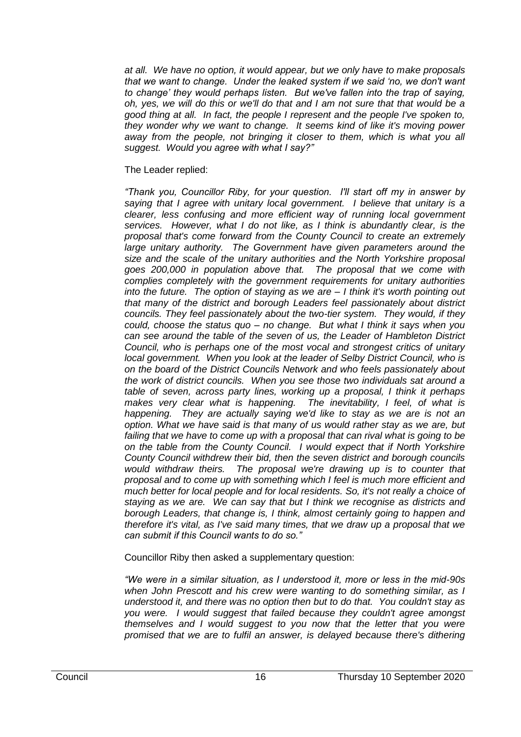*at all. We have no option, it would appear, but we only have to make proposals that we want to change. Under the leaked system if we said 'no, we don't want to change' they would perhaps listen. But we've fallen into the trap of saying, oh, yes, we will do this or we'll do that and I am not sure that that would be a good thing at all. In fact, the people I represent and the people I've spoken to, they wonder why we want to change. It seems kind of like it's moving power*  away from the people, not bringing it closer to them, which is what you all *suggest. Would you agree with what I say?"*

## The Leader replied:

*"Thank you, Councillor Riby, for your question. I'll start off my in answer by saying that I agree with unitary local government. I believe that unitary is a clearer, less confusing and more efficient way of running local government services. However, what I do not like, as I think is abundantly clear, is the proposal that's come forward from the County Council to create an extremely large unitary authority. The Government have given parameters around the size and the scale of the unitary authorities and the North Yorkshire proposal goes 200,000 in population above that. The proposal that we come with complies completely with the government requirements for unitary authorities into the future. The option of staying as we are – I think it's worth pointing out that many of the district and borough Leaders feel passionately about district councils. They feel passionately about the two-tier system. They would, if they could, choose the status quo – no change. But what I think it says when you can see around the table of the seven of us, the Leader of Hambleton District Council, who is perhaps one of the most vocal and strongest critics of unitary local government. When you look at the leader of Selby District Council, who is on the board of the District Councils Network and who feels passionately about the work of district councils. When you see those two individuals sat around a table of seven, across party lines, working up a proposal, I think it perhaps makes very clear what is happening. The inevitability, I feel, of what is happening. They are actually saying we'd like to stay as we are is not an option. What we have said is that many of us would rather stay as we are, but*  failing that we have to come up with a proposal that can rival what is going to be *on the table from the County Council. I would expect that if North Yorkshire County Council withdrew their bid, then the seven district and borough councils would withdraw theirs. The proposal we're drawing up is to counter that proposal and to come up with something which I feel is much more efficient and much better for local people and for local residents. So, it's not really a choice of staying as we are. We can say that but I think we recognise as districts and borough Leaders, that change is, I think, almost certainly going to happen and therefore it's vital, as I've said many times, that we draw up a proposal that we can submit if this Council wants to do so."*

Councillor Riby then asked a supplementary question:

*"We were in a similar situation, as I understood it, more or less in the mid-90s when John Prescott and his crew were wanting to do something similar, as I understood it, and there was no option then but to do that. You couldn't stay as you were. I would suggest that failed because they couldn't agree amongst themselves and I would suggest to you now that the letter that you were promised that we are to fulfil an answer, is delayed because there's dithering*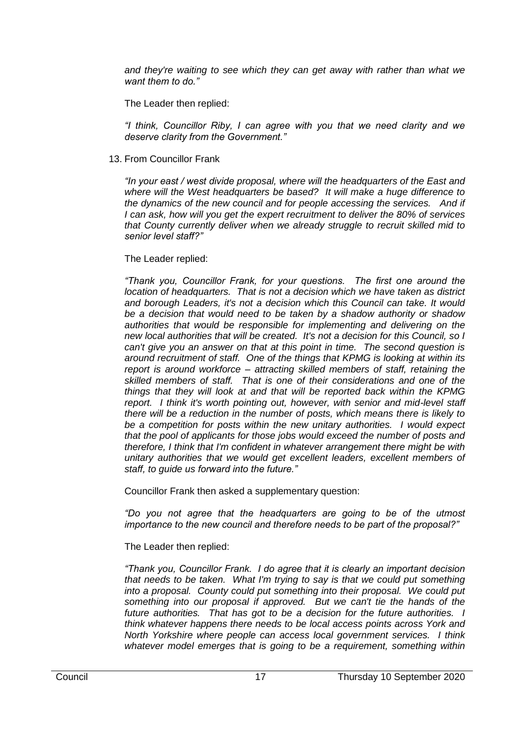*and they're waiting to see which they can get away with rather than what we want them to do."*

The Leader then replied:

*"I think, Councillor Riby, I can agree with you that we need clarity and we deserve clarity from the Government."*

13. From Councillor Frank

*"In your east / west divide proposal, where will the headquarters of the East and where will the West headquarters be based? It will make a huge difference to the dynamics of the new council and for people accessing the services. And if I can ask, how will you get the expert recruitment to deliver the 80% of services that County currently deliver when we already struggle to recruit skilled mid to senior level staff?"*

# The Leader replied:

*"Thank you, Councillor Frank, for your questions. The first one around the location of headquarters. That is not a decision which we have taken as district and borough Leaders, it's not a decision which this Council can take. It would be a decision that would need to be taken by a shadow authority or shadow authorities that would be responsible for implementing and delivering on the new local authorities that will be created. It's not a decision for this Council, so I can't give you an answer on that at this point in time. The second question is around recruitment of staff. One of the things that KPMG is looking at within its report is around workforce – attracting skilled members of staff, retaining the skilled members of staff. That is one of their considerations and one of the things that they will look at and that will be reported back within the KPMG report. I think it's worth pointing out, however, with senior and mid-level staff there will be a reduction in the number of posts, which means there is likely to be a competition for posts within the new unitary authorities. I would expect that the pool of applicants for those jobs would exceed the number of posts and therefore, I think that I'm confident in whatever arrangement there might be with unitary authorities that we would get excellent leaders, excellent members of staff, to guide us forward into the future."*

Councillor Frank then asked a supplementary question:

*"Do you not agree that the headquarters are going to be of the utmost importance to the new council and therefore needs to be part of the proposal?"*

The Leader then replied:

*"Thank you, Councillor Frank. I do agree that it is clearly an important decision that needs to be taken. What I'm trying to say is that we could put something into a proposal. County could put something into their proposal. We could put something into our proposal if approved. But we can't tie the hands of the future authorities. That has got to be a decision for the future authorities. I think whatever happens there needs to be local access points across York and North Yorkshire where people can access local government services. I think whatever model emerges that is going to be a requirement, something within*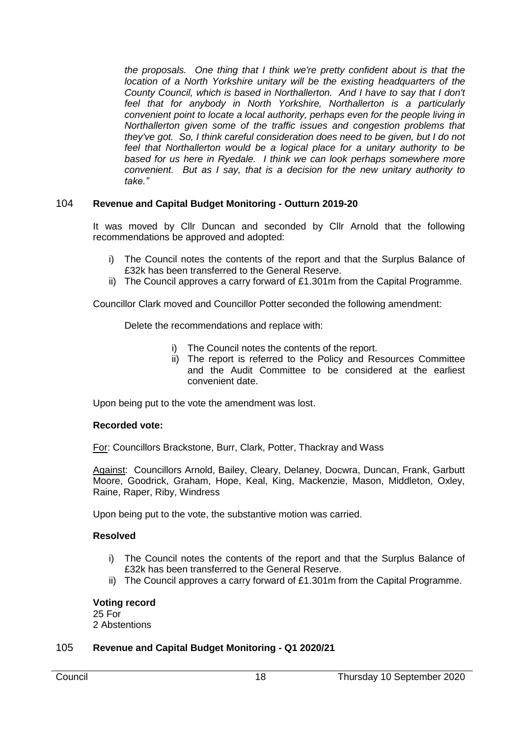*the proposals. One thing that I think we're pretty confident about is that the location of a North Yorkshire unitary will be the existing headquarters of the County Council, which is based in Northallerton. And I have to say that I don't feel that for anybody in North Yorkshire, Northallerton is a particularly convenient point to locate a local authority, perhaps even for the people living in Northallerton given some of the traffic issues and congestion problems that they've got. So, I think careful consideration does need to be given, but I do not*  feel that Northallerton would be a logical place for a unitary authority to be *based for us here in Ryedale. I think we can look perhaps somewhere more convenient. But as I say, that is a decision for the new unitary authority to take."*

# 104 **Revenue and Capital Budget Monitoring - Outturn 2019-20**

It was moved by Cllr Duncan and seconded by Cllr Arnold that the following recommendations be approved and adopted:

- i) The Council notes the contents of the report and that the Surplus Balance of £32k has been transferred to the General Reserve.
- ii) The Council approves a carry forward of £1.301m from the Capital Programme.

Councillor Clark moved and Councillor Potter seconded the following amendment:

Delete the recommendations and replace with:

- i) The Council notes the contents of the report.
- ii) The report is referred to the Policy and Resources Committee and the Audit Committee to be considered at the earliest convenient date.

Upon being put to the vote the amendment was lost.

## **Recorded vote:**

For: Councillors Brackstone, Burr, Clark, Potter, Thackray and Wass

Against: Councillors Arnold, Bailey, Cleary, Delaney, Docwra, Duncan, Frank, Garbutt Moore, Goodrick, Graham, Hope, Keal, King, Mackenzie, Mason, Middleton, Oxley, Raine, Raper, Riby, Windress

Upon being put to the vote, the substantive motion was carried.

## **Resolved**

- i) The Council notes the contents of the report and that the Surplus Balance of £32k has been transferred to the General Reserve.
- ii) The Council approves a carry forward of £1.301m from the Capital Programme.

## **Voting record**

25 For 2 Abstentions

## 105 **Revenue and Capital Budget Monitoring - Q1 2020/21**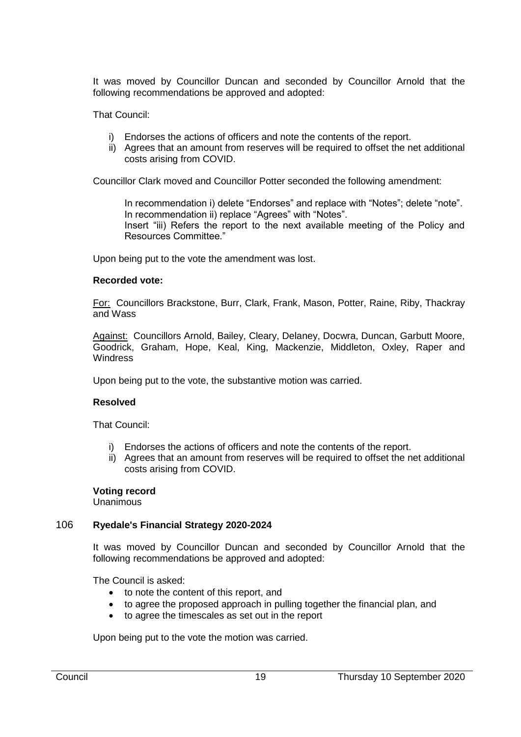It was moved by Councillor Duncan and seconded by Councillor Arnold that the following recommendations be approved and adopted:

That Council:

- i) Endorses the actions of officers and note the contents of the report.
- ii) Agrees that an amount from reserves will be required to offset the net additional costs arising from COVID.

Councillor Clark moved and Councillor Potter seconded the following amendment:

In recommendation i) delete "Endorses" and replace with "Notes"; delete "note". In recommendation ii) replace "Agrees" with "Notes". Insert "iii) Refers the report to the next available meeting of the Policy and Resources Committee."

Upon being put to the vote the amendment was lost.

## **Recorded vote:**

For: Councillors Brackstone, Burr, Clark, Frank, Mason, Potter, Raine, Riby, Thackray and Wass

Against: Councillors Arnold, Bailey, Cleary, Delaney, Docwra, Duncan, Garbutt Moore, Goodrick, Graham, Hope, Keal, King, Mackenzie, Middleton, Oxley, Raper and **Windress** 

Upon being put to the vote, the substantive motion was carried.

## **Resolved**

That Council:

- i) Endorses the actions of officers and note the contents of the report.
- ii) Agrees that an amount from reserves will be required to offset the net additional costs arising from COVID.

## **Voting record**

Unanimous

## 106 **Ryedale's Financial Strategy 2020-2024**

It was moved by Councillor Duncan and seconded by Councillor Arnold that the following recommendations be approved and adopted:

The Council is asked:

- to note the content of this report, and
- to agree the proposed approach in pulling together the financial plan, and
- to agree the timescales as set out in the report

Upon being put to the vote the motion was carried.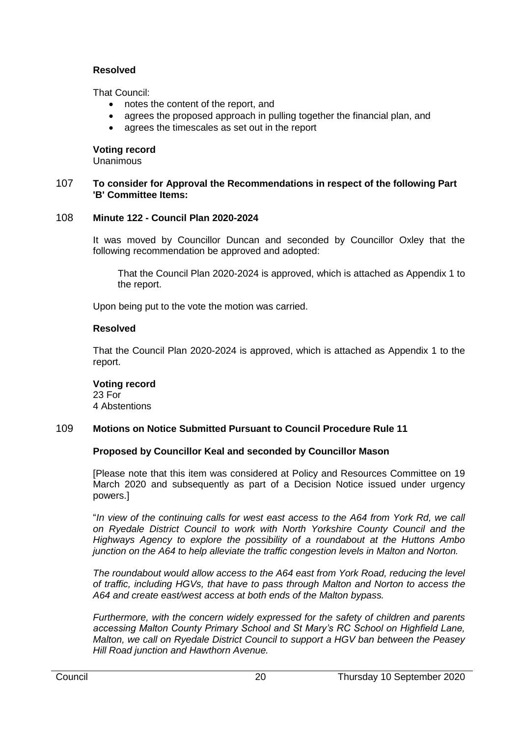## **Resolved**

That Council:

- notes the content of the report, and
- agrees the proposed approach in pulling together the financial plan, and
- agrees the timescales as set out in the report

## **Voting record**

Unanimous

## 107 **To consider for Approval the Recommendations in respect of the following Part 'B' Committee Items:**

## 108 **Minute 122 - Council Plan 2020-2024**

It was moved by Councillor Duncan and seconded by Councillor Oxley that the following recommendation be approved and adopted:

That the Council Plan 2020-2024 is approved, which is attached as Appendix 1 to the report.

Upon being put to the vote the motion was carried.

## **Resolved**

That the Council Plan 2020-2024 is approved, which is attached as Appendix 1 to the report.

## **Voting record**

23 For 4 Abstentions

# 109 **Motions on Notice Submitted Pursuant to Council Procedure Rule 11**

# **Proposed by Councillor Keal and seconded by Councillor Mason**

[Please note that this item was considered at Policy and Resources Committee on 19 March 2020 and subsequently as part of a Decision Notice issued under urgency powers.]

"*In view of the continuing calls for west east access to the A64 from York Rd, we call on Ryedale District Council to work with North Yorkshire County Council and the Highways Agency to explore the possibility of a roundabout at the Huttons Ambo junction on the A64 to help alleviate the traffic congestion levels in Malton and Norton.* 

*The roundabout would allow access to the A64 east from York Road, reducing the level of traffic, including HGVs, that have to pass through Malton and Norton to access the A64 and create east/west access at both ends of the Malton bypass.* 

*Furthermore, with the concern widely expressed for the safety of children and parents accessing Malton County Primary School and St Mary's RC School on Highfield Lane, Malton, we call on Ryedale District Council to support a HGV ban between the Peasey Hill Road junction and Hawthorn Avenue.*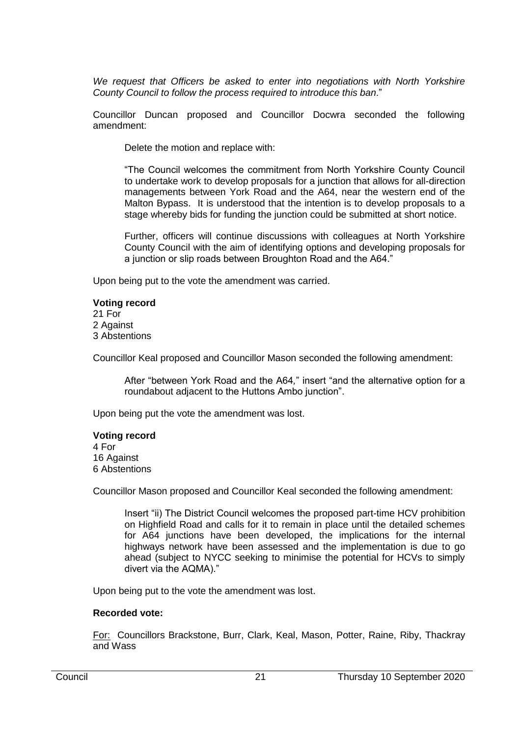*We request that Officers be asked to enter into negotiations with North Yorkshire County Council to follow the process required to introduce this ban*."

Councillor Duncan proposed and Councillor Docwra seconded the following amendment:

Delete the motion and replace with:

"The Council welcomes the commitment from North Yorkshire County Council to undertake work to develop proposals for a junction that allows for all-direction managements between York Road and the A64, near the western end of the Malton Bypass. It is understood that the intention is to develop proposals to a stage whereby bids for funding the junction could be submitted at short notice.

Further, officers will continue discussions with colleagues at North Yorkshire County Council with the aim of identifying options and developing proposals for a junction or slip roads between Broughton Road and the A64."

Upon being put to the vote the amendment was carried.

## **Voting record**

21 For 2 Against 3 Abstentions

Councillor Keal proposed and Councillor Mason seconded the following amendment:

After "between York Road and the A64*,*" insert "and the alternative option for a roundabout adjacent to the Huttons Ambo junction".

Upon being put the vote the amendment was lost.

# **Voting record**

4 For 16 Against 6 Abstentions

Councillor Mason proposed and Councillor Keal seconded the following amendment:

Insert "ii) The District Council welcomes the proposed part-time HCV prohibition on Highfield Road and calls for it to remain in place until the detailed schemes for A64 junctions have been developed, the implications for the internal highways network have been assessed and the implementation is due to go ahead (subject to NYCC seeking to minimise the potential for HCVs to simply divert via the AQMA)."

Upon being put to the vote the amendment was lost.

# **Recorded vote:**

For: Councillors Brackstone, Burr, Clark, Keal, Mason, Potter, Raine, Riby, Thackray and Wass